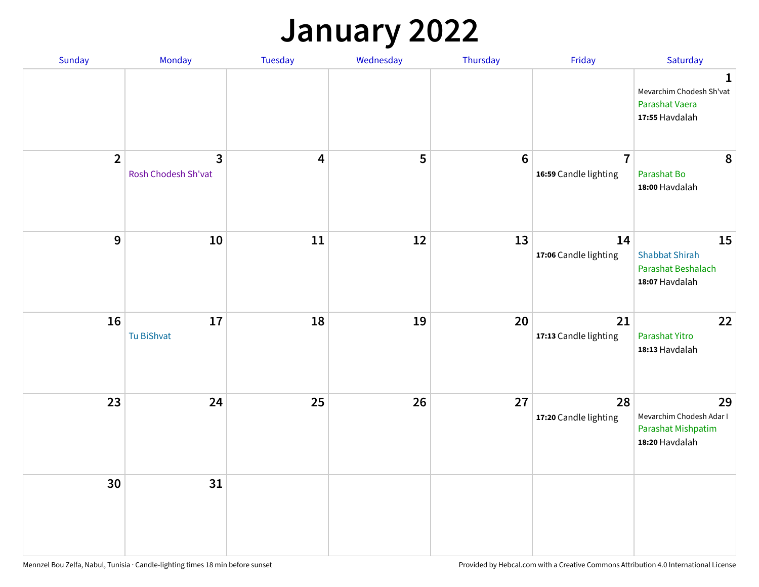## **January 2022**

| Sunday         | Monday                              | Tuesday                 | Wednesday | Thursday        | Friday                                  | Saturday                                                                    |
|----------------|-------------------------------------|-------------------------|-----------|-----------------|-----------------------------------------|-----------------------------------------------------------------------------|
|                |                                     |                         |           |                 |                                         | $\mathbf 1$<br>Mevarchim Chodesh Sh'vat<br>Parashat Vaera<br>17:55 Havdalah |
| $\overline{2}$ | $\mathbf{3}$<br>Rosh Chodesh Sh'vat | $\overline{\mathbf{4}}$ | 5         | $6\phantom{1}6$ | $\overline{7}$<br>16:59 Candle lighting | 8<br>Parashat Bo<br>18:00 Havdalah                                          |
| 9              | 10                                  | 11                      | 12        | 13              | 14<br>17:06 Candle lighting             | 15<br><b>Shabbat Shirah</b><br>Parashat Beshalach<br>18:07 Havdalah         |
| 16             | 17<br>Tu BiShvat                    | 18                      | 19        | 20              | 21<br>17:13 Candle lighting             | 22<br>Parashat Yitro<br>18:13 Havdalah                                      |
| 23             | 24                                  | 25                      | 26        | 27              | 28<br>17:20 Candle lighting             | 29<br>Mevarchim Chodesh Adar I<br>Parashat Mishpatim<br>18:20 Havdalah      |
| 30             | 31                                  |                         |           |                 |                                         |                                                                             |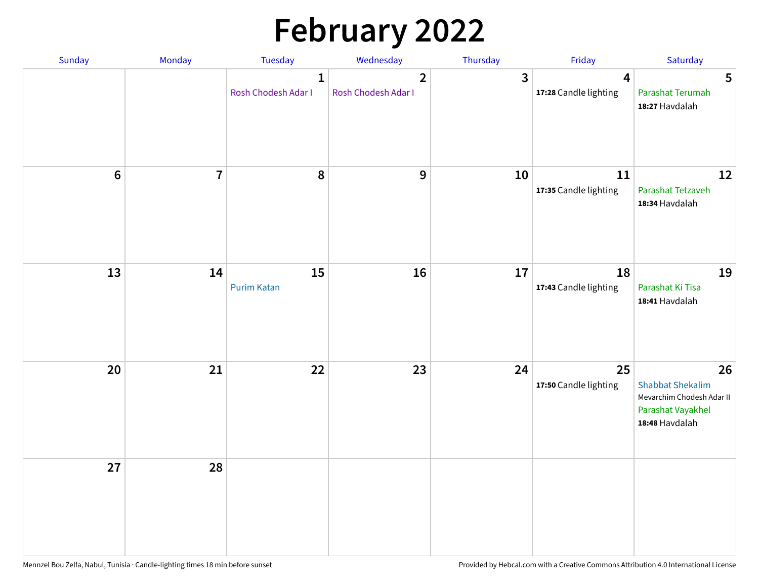# **February 2022**

| Sunday | Monday                  | <b>Tuesday</b>                      | Wednesday                             | Thursday | Friday                                           | Saturday                                                                                          |
|--------|-------------------------|-------------------------------------|---------------------------------------|----------|--------------------------------------------------|---------------------------------------------------------------------------------------------------|
|        |                         | $\mathbf{1}$<br>Rosh Chodesh Adar I | $\overline{2}$<br>Rosh Chodesh Adar I | 3        | $\overline{\mathbf{4}}$<br>17:28 Candle lighting | 5<br>Parashat Terumah<br>18:27 Havdalah                                                           |
| $6\,$  | $\overline{\mathbf{7}}$ | 8                                   | 9                                     | 10       | 11<br>17:35 Candle lighting                      | 12<br>Parashat Tetzaveh<br>18:34 Havdalah                                                         |
| 13     | 14                      | 15<br><b>Purim Katan</b>            | 16                                    | 17       | 18<br>17:43 Candle lighting                      | 19<br>Parashat Ki Tisa<br>18:41 Havdalah                                                          |
| 20     | 21                      | 22                                  | 23                                    | 24       | 25<br>17:50 Candle lighting                      | 26<br><b>Shabbat Shekalim</b><br>Mevarchim Chodesh Adar II<br>Parashat Vayakhel<br>18:48 Havdalah |
| 27     | 28                      |                                     |                                       |          |                                                  |                                                                                                   |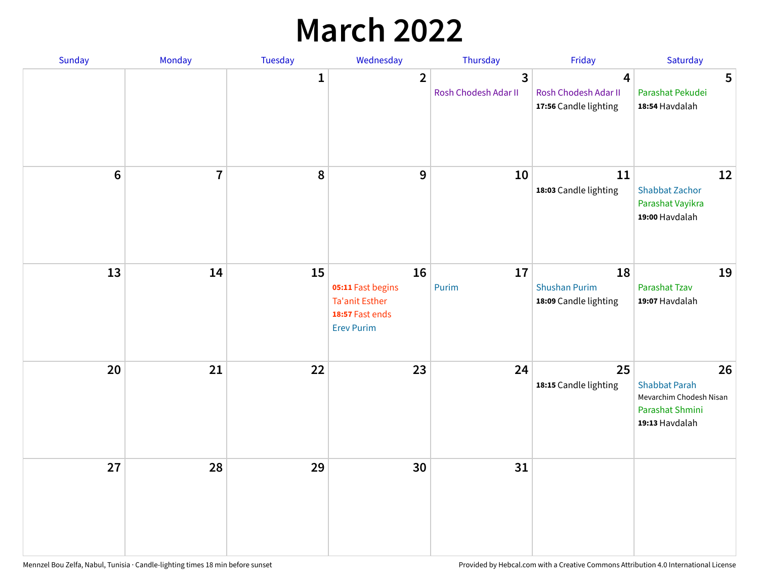## **March 2022**

| Sunday         | Monday         | Tuesday      | Wednesday                                                                                | Thursday                  | Friday                                              | Saturday                                                                                   |
|----------------|----------------|--------------|------------------------------------------------------------------------------------------|---------------------------|-----------------------------------------------------|--------------------------------------------------------------------------------------------|
|                |                | $\mathbf{1}$ | $\overline{2}$                                                                           | 3<br>Rosh Chodesh Adar II | 4<br>Rosh Chodesh Adar II<br>17:56 Candle lighting  | 5<br>Parashat Pekudei<br>18:54 Havdalah                                                    |
| $6\phantom{1}$ | $\overline{7}$ | 8            | $9$                                                                                      | 10                        | 11<br>18:03 Candle lighting                         | 12<br><b>Shabbat Zachor</b><br>Parashat Vayikra<br>19:00 Havdalah                          |
| 13             | 14             | 15           | 16<br>05:11 Fast begins<br><b>Ta'anit Esther</b><br>18:57 Fast ends<br><b>Erev Purim</b> | 17<br>Purim               | 18<br><b>Shushan Purim</b><br>18:09 Candle lighting | 19<br>Parashat Tzav<br>19:07 Havdalah                                                      |
| 20             | 21             | 22           | 23                                                                                       | 24                        | 25<br>18:15 Candle lighting                         | 26<br><b>Shabbat Parah</b><br>Mevarchim Chodesh Nisan<br>Parashat Shmini<br>19:13 Havdalah |
| 27             | 28             | 29           | 30                                                                                       | 31                        |                                                     |                                                                                            |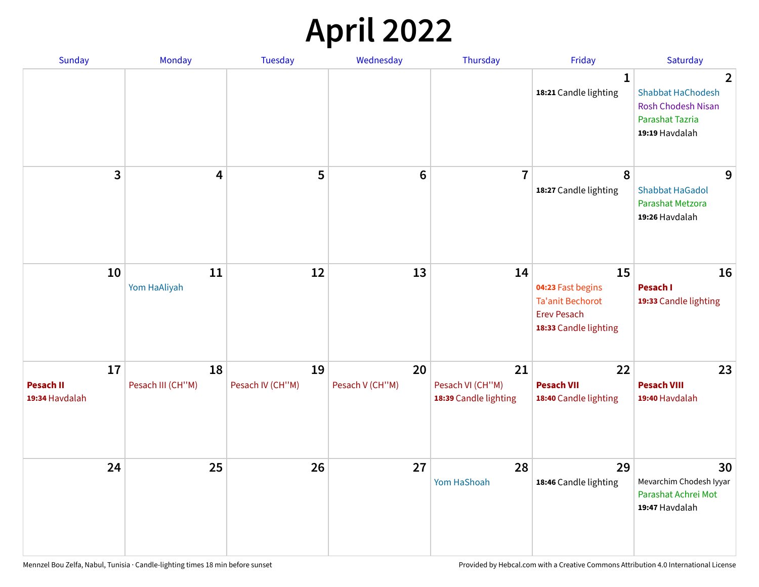## **April 2022**

| Sunday                                   | <b>Monday</b>           | <b>Tuesday</b>         | Wednesday             | Thursday                                        | Friday                                                                                            | Saturday                                                                                                   |
|------------------------------------------|-------------------------|------------------------|-----------------------|-------------------------------------------------|---------------------------------------------------------------------------------------------------|------------------------------------------------------------------------------------------------------------|
|                                          |                         |                        |                       |                                                 | $\mathbf{1}$<br>18:21 Candle lighting                                                             | $\mathbf{2}$<br><b>Shabbat HaChodesh</b><br>Rosh Chodesh Nisan<br><b>Parashat Tazria</b><br>19:19 Havdalah |
| 3                                        | 4                       | 5                      | $\bf 6$               | $\overline{7}$                                  | 8<br>18:27 Candle lighting                                                                        | 9<br><b>Shabbat HaGadol</b><br>Parashat Metzora<br>19:26 Havdalah                                          |
| 10                                       | 11<br>Yom HaAliyah      | 12                     | 13                    | 14                                              | 15<br>04:23 Fast begins<br><b>Ta'anit Bechorot</b><br><b>Erev Pesach</b><br>18:33 Candle lighting | 16<br>Pesach I<br>19:33 Candle lighting                                                                    |
| 17<br><b>Pesach II</b><br>19:34 Havdalah | 18<br>Pesach III (CH"M) | 19<br>Pesach IV (CH"M) | 20<br>Pesach V (CH"M) | 21<br>Pesach VI (CH"M)<br>18:39 Candle lighting | 22<br><b>Pesach VII</b><br>18:40 Candle lighting                                                  | 23<br><b>Pesach VIII</b><br>19:40 Havdalah                                                                 |
| 24                                       | 25                      | 26                     | 27                    | 28<br>Yom HaShoah                               | 29<br>18:46 Candle lighting                                                                       | 30<br>Mevarchim Chodesh Iyyar<br>Parashat Achrei Mot<br>19:47 Havdalah                                     |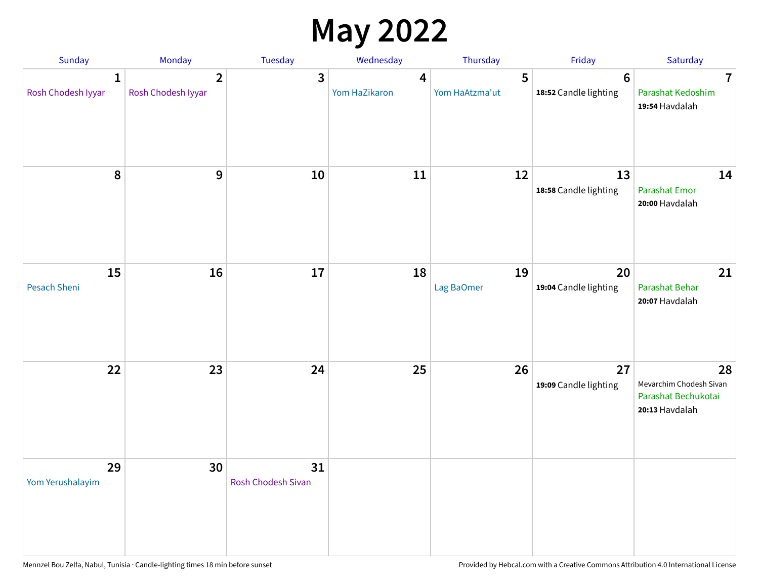## **May 2022**

| Sunday                             | Monday                               | Tuesday                         | Wednesday          | Thursday            | Friday                                  | Saturday                                                               |
|------------------------------------|--------------------------------------|---------------------------------|--------------------|---------------------|-----------------------------------------|------------------------------------------------------------------------|
| $\mathbf{1}$<br>Rosh Chodesh Iyyar | $\overline{2}$<br>Rosh Chodesh Iyyar | 3                               | 4<br>Yom HaZikaron | 5<br>Yom HaAtzma'ut | $6\phantom{1}$<br>18:52 Candle lighting | $\overline{7}$<br>Parashat Kedoshim<br>19:54 Havdalah                  |
| 8                                  | 9                                    | 10                              | 11                 | 12                  | 13<br>18:58 Candle lighting             | 14<br><b>Parashat Emor</b><br>20:00 Havdalah                           |
| 15<br>Pesach Sheni                 | 16                                   | 17                              | 18                 | 19<br>Lag BaOmer    | 20<br>19:04 Candle lighting             | 21<br>Parashat Behar<br>20:07 Havdalah                                 |
| 22                                 | 23                                   | 24                              | 25                 | 26                  | 27<br>19:09 Candle lighting             | 28<br>Mevarchim Chodesh Sivan<br>Parashat Bechukotai<br>20:13 Havdalah |
| 29<br>Yom Yerushalayim             | 30                                   | 31<br><b>Rosh Chodesh Sivan</b> |                    |                     |                                         |                                                                        |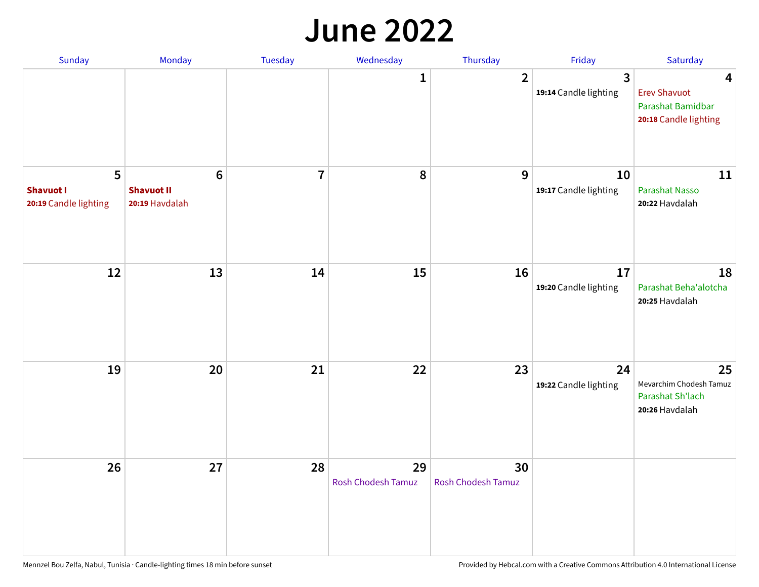#### **June 2022**

| Sunday                                         | Monday                                                | Tuesday        | Wednesday                       | Thursday                        | Friday                      | Saturday                                                               |
|------------------------------------------------|-------------------------------------------------------|----------------|---------------------------------|---------------------------------|-----------------------------|------------------------------------------------------------------------|
|                                                |                                                       |                | 1                               | $\overline{2}$                  | 3<br>19:14 Candle lighting  | 4<br><b>Erev Shavuot</b><br>Parashat Bamidbar<br>20:18 Candle lighting |
| 5<br><b>Shavuot I</b><br>20:19 Candle lighting | $6\phantom{1}$<br><b>Shavuot II</b><br>20:19 Havdalah | $\overline{7}$ | 8                               | 9                               | 10<br>19:17 Candle lighting | 11<br><b>Parashat Nasso</b><br>20:22 Havdalah                          |
| 12                                             | 13                                                    | 14             | 15                              | 16                              | 17<br>19:20 Candle lighting | 18<br>Parashat Beha'alotcha<br>20:25 Havdalah                          |
| 19                                             | 20                                                    | 21             | 22                              | 23                              | 24<br>19:22 Candle lighting | 25<br>Mevarchim Chodesh Tamuz<br>Parashat Sh'lach<br>20:26 Havdalah    |
| 26                                             | 27                                                    | 28             | 29<br><b>Rosh Chodesh Tamuz</b> | 30<br><b>Rosh Chodesh Tamuz</b> |                             |                                                                        |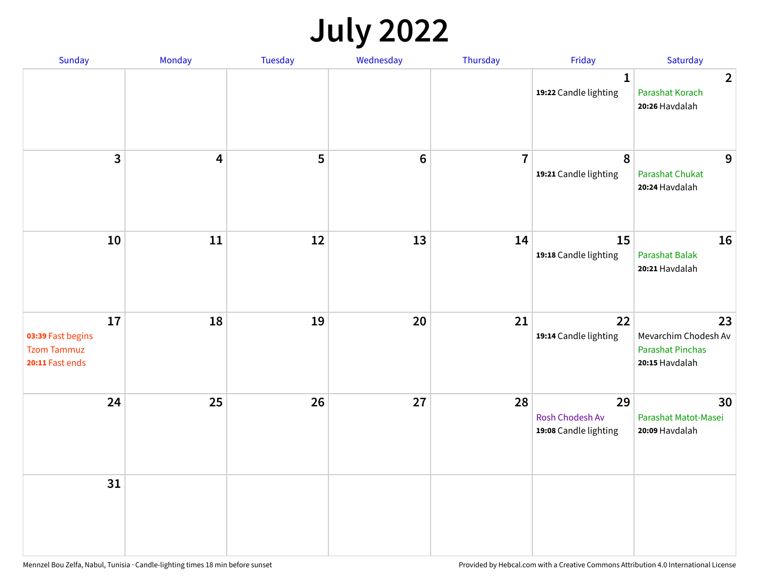## **July 2022**

| Sunday                                                           | Monday                  | Tuesday | Wednesday | Thursday       | Friday                                         | Saturday                                                                |
|------------------------------------------------------------------|-------------------------|---------|-----------|----------------|------------------------------------------------|-------------------------------------------------------------------------|
|                                                                  |                         |         |           |                | $\mathbf{1}$<br>19:22 Candle lighting          | $\overline{2}$<br>Parashat Korach<br>20:26 Havdalah                     |
| $\mathbf{3}$                                                     | $\overline{\mathbf{4}}$ | 5       | $\bf 6$   | $\overline{7}$ | 8<br>19:21 Candle lighting                     | 9<br>Parashat Chukat<br>20:24 Havdalah                                  |
| 10                                                               | 11                      | 12      | 13        | 14             | 15<br>19:18 Candle lighting                    | 16<br><b>Parashat Balak</b><br>20:21 Havdalah                           |
| 17<br>03:39 Fast begins<br><b>Tzom Tammuz</b><br>20:11 Fast ends | 18                      | 19      | 20        | 21             | 22<br>19:14 Candle lighting                    | 23<br>Mevarchim Chodesh Av<br><b>Parashat Pinchas</b><br>20:15 Havdalah |
| 24                                                               | 25                      | 26      | 27        | 28             | 29<br>Rosh Chodesh Av<br>19:08 Candle lighting | 30<br>Parashat Matot-Masei<br>20:09 Havdalah                            |
| 31                                                               |                         |         |           |                |                                                |                                                                         |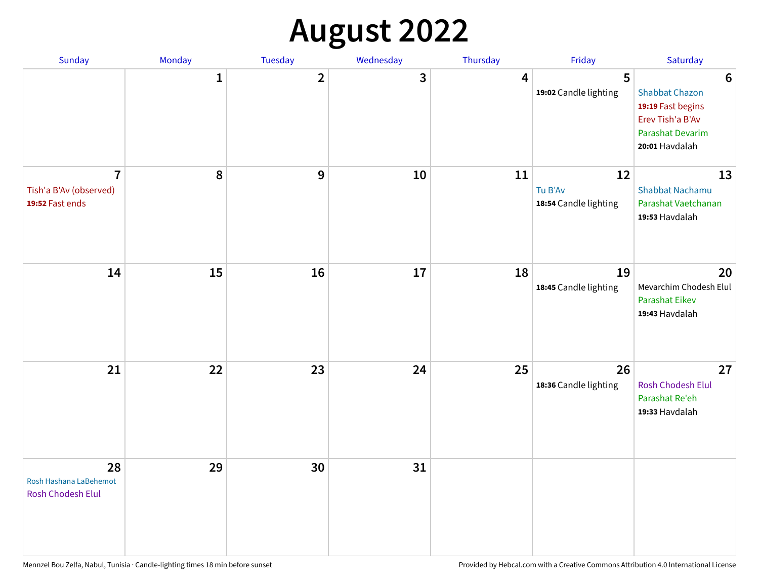## **August 2022**

| Sunday                                                      | Monday       | Tuesday        | Wednesday | Thursday | Friday                                 | Saturday                                                                                                                       |
|-------------------------------------------------------------|--------------|----------------|-----------|----------|----------------------------------------|--------------------------------------------------------------------------------------------------------------------------------|
|                                                             | $\mathbf{1}$ | $\overline{2}$ | 3         | 4        | 5<br>19:02 Candle lighting             | $6\phantom{1}6$<br><b>Shabbat Chazon</b><br>19:19 Fast begins<br>Erev Tish'a B'Av<br><b>Parashat Devarim</b><br>20:01 Havdalah |
| $\overline{7}$<br>Tish'a B'Av (observed)<br>19:52 Fast ends | 8            | 9              | 10        | 11       | 12<br>Tu B'Av<br>18:54 Candle lighting | 13<br><b>Shabbat Nachamu</b><br>Parashat Vaetchanan<br>19:53 Havdalah                                                          |
| 14                                                          | 15           | 16             | 17        | 18       | 19<br>18:45 Candle lighting            | 20<br>Mevarchim Chodesh Elul<br>Parashat Eikev<br>19:43 Havdalah                                                               |
| 21                                                          | 22           | 23             | 24        | 25       | 26<br>18:36 Candle lighting            | 27<br>Rosh Chodesh Elul<br>Parashat Re'eh<br>19:33 Havdalah                                                                    |
| 28<br>Rosh Hashana LaBehemot<br>Rosh Chodesh Elul           | 29           | 30             | 31        |          |                                        |                                                                                                                                |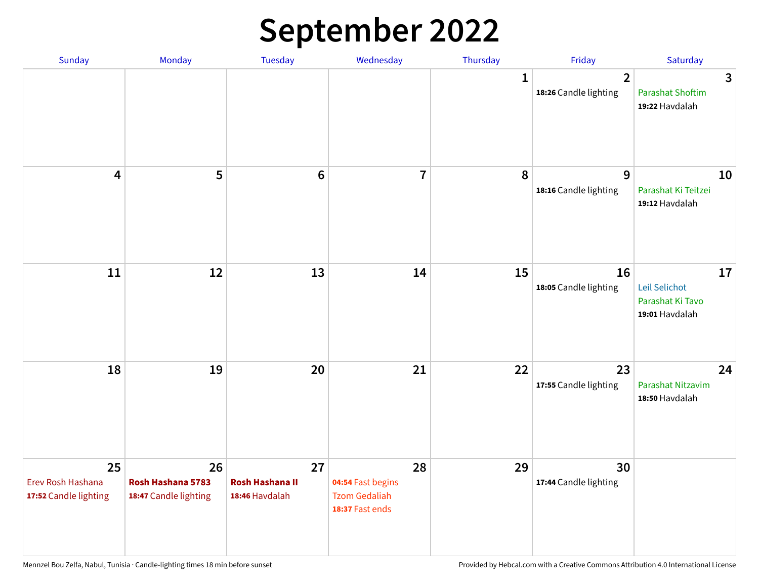## **September 2022**

| Sunday                                           | Monday                                           | Tuesday                                        | Wednesday                                                          | Thursday     | Friday                                  | Saturday                                                  |
|--------------------------------------------------|--------------------------------------------------|------------------------------------------------|--------------------------------------------------------------------|--------------|-----------------------------------------|-----------------------------------------------------------|
|                                                  |                                                  |                                                |                                                                    | $\mathbf{1}$ | $\overline{2}$<br>18:26 Candle lighting | 3<br><b>Parashat Shoftim</b><br>19:22 Havdalah            |
| $\overline{\mathbf{4}}$                          | 5                                                | $6\phantom{1}6$                                | $\overline{7}$                                                     | 8            | 9<br>18:16 Candle lighting              | 10<br>Parashat Ki Teitzei<br>19:12 Havdalah               |
| $11\,$                                           | 12                                               | 13                                             | 14                                                                 | 15           | 16<br>18:05 Candle lighting             | 17<br>Leil Selichot<br>Parashat Ki Tavo<br>19:01 Havdalah |
| 18                                               | 19                                               | 20                                             | 21                                                                 | 22           | 23<br>17:55 Candle lighting             | 24<br>Parashat Nitzavim<br>18:50 Havdalah                 |
| 25<br>Erev Rosh Hashana<br>17:52 Candle lighting | 26<br>Rosh Hashana 5783<br>18:47 Candle lighting | 27<br><b>Rosh Hashana II</b><br>18:46 Havdalah | 28<br>04:54 Fast begins<br><b>Tzom Gedaliah</b><br>18:37 Fast ends | 29           | 30<br>17:44 Candle lighting             |                                                           |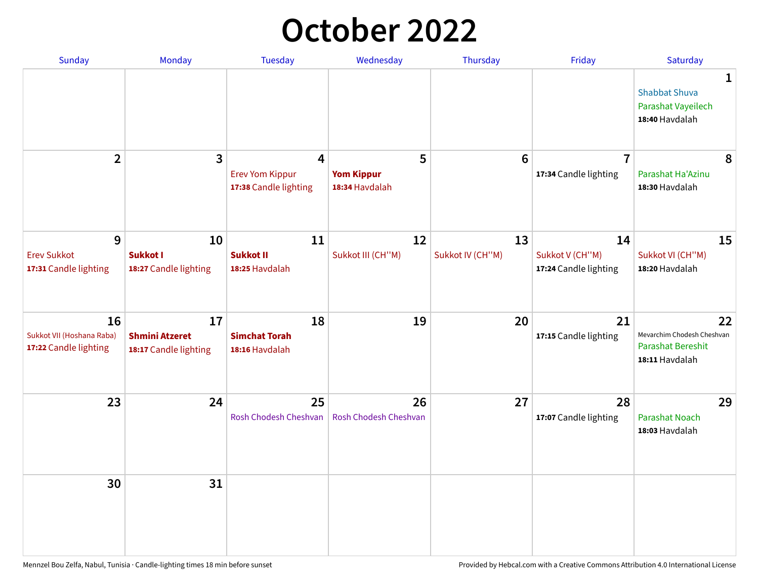## **October 2022**

| Sunday                                                   | Monday                                               | <b>Tuesday</b>                                                    | Wednesday                                | Thursday               | Friday                                         | Saturday                                                                       |
|----------------------------------------------------------|------------------------------------------------------|-------------------------------------------------------------------|------------------------------------------|------------------------|------------------------------------------------|--------------------------------------------------------------------------------|
|                                                          |                                                      |                                                                   |                                          |                        |                                                | 1<br><b>Shabbat Shuva</b><br>Parashat Vayeilech<br>18:40 Havdalah              |
| $\overline{2}$                                           | 3                                                    | $\overline{4}$<br><b>Erev Yom Kippur</b><br>17:38 Candle lighting | 5<br><b>Yom Kippur</b><br>18:34 Havdalah | 6                      | $\overline{7}$<br>17:34 Candle lighting        | 8<br>Parashat Ha'Azinu<br>18:30 Havdalah                                       |
| 9<br><b>Erev Sukkot</b><br>17:31 Candle lighting         | 10<br><b>Sukkot I</b><br>18:27 Candle lighting       | 11<br><b>Sukkot II</b><br>18:25 Havdalah                          | 12<br>Sukkot III (CH"M)                  | 13<br>Sukkot IV (CH"M) | 14<br>Sukkot V (CH"M)<br>17:24 Candle lighting | 15<br>Sukkot VI (CH"M)<br>18:20 Havdalah                                       |
| 16<br>Sukkot VII (Hoshana Raba)<br>17:22 Candle lighting | 17<br><b>Shmini Atzeret</b><br>18:17 Candle lighting | 18<br><b>Simchat Torah</b><br>18:16 Havdalah                      | 19                                       | 20                     | 21<br>17:15 Candle lighting                    | 22<br>Mevarchim Chodesh Cheshvan<br><b>Parashat Bereshit</b><br>18:11 Havdalah |
| 23                                                       | 24                                                   | 25<br>Rosh Chodesh Cheshvan                                       | 26<br>Rosh Chodesh Cheshvan              | 27                     | 28<br>17:07 Candle lighting                    | 29<br><b>Parashat Noach</b><br>18:03 Havdalah                                  |
| 30                                                       | 31                                                   |                                                                   |                                          |                        |                                                |                                                                                |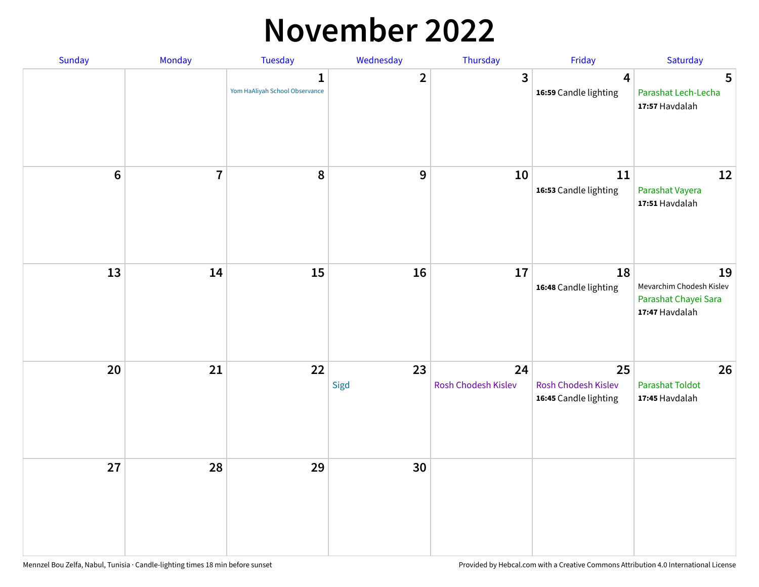#### **November 2022**

| Sunday         | Monday                  | <b>Tuesday</b>                                 | Wednesday        | Thursday                  | Friday                                             | Saturday                                                                 |
|----------------|-------------------------|------------------------------------------------|------------------|---------------------------|----------------------------------------------------|--------------------------------------------------------------------------|
|                |                         | $\mathbf{1}$<br>Yom HaAliyah School Observance | $\overline{2}$   | $\mathbf{3}$              | $\boldsymbol{4}$<br>16:59 Candle lighting          | 5<br>Parashat Lech-Lecha<br>17:57 Havdalah                               |
| $6\phantom{1}$ | $\overline{\mathbf{7}}$ | 8                                              | $\boldsymbol{9}$ | 10                        | 11<br>16:53 Candle lighting                        | 12<br>Parashat Vayera<br>17:51 Havdalah                                  |
| 13             | 14                      | 15                                             | 16               | 17                        | 18<br>16:48 Candle lighting                        | 19<br>Mevarchim Chodesh Kislev<br>Parashat Chayei Sara<br>17:47 Havdalah |
| 20             | 21                      | 22                                             | 23<br>Sigd       | 24<br>Rosh Chodesh Kislev | 25<br>Rosh Chodesh Kislev<br>16:45 Candle lighting | 26<br>Parashat Toldot<br>17:45 Havdalah                                  |
| 27             | 28                      | 29                                             | 30               |                           |                                                    |                                                                          |